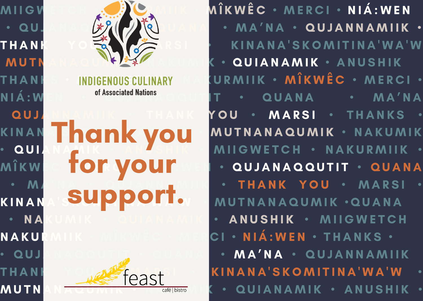

Thank you for your support.



MII G W ET CH **\* A BUCAMER \* MÎK WÊ C \* MERCI \* NIÁ: WEN**  $\cdot$  QU. ANA  $\left(\frac{1}{2}\right)^{n}$  of  $\left(\frac{1}{2}\right)^{n}$  of  $\left(\frac{1}{2}\right)^{n}$  and  $\left(\frac{1}{2}\right)^{n}$  and  $\left(\frac{1}{2}\right)^{n}$  and  $\left(\frac{1}{2}\right)^{n}$  and  $\left(\frac{1}{2}\right)^{n}$  and  $\left(\frac{1}{2}\right)^{n}$  and  $\left(\frac{1}{2}\right)^{n}$  and  $\left(\frac{1}{2}\right)^{n}$  and THANK YOU AN YEARSI • KINANA'SKOMITINA'WA'W MUTNANA NE SEZIZANDUK • QUIANAMIK • ANUSHIK THANKS • INDIGENOUS CULINARY NAKURMIIK • MÎKWÊC • MERCI • N I Á : W E N social Mations A LUTIT · QUANA · MA'NA QUJANNAMIK • THANK YOU • MARSI • THANKS KINAN **I A AIR** *Y* **VAII MUTNANAQUMIK · NAKUMIK** • QUIANA MIK • A N A SHIK • MII GWETCH • NAKURMIIK • MÎKW**E TOM VOUM EN E QUJANAQQUTIT • QUANA MA NA • QUANNING I • THANK YOU • MARSI •** KINANA SU PPOITO MUTNANAQUMIK .QUANA • NA KUMIK • QUIANAMIK • ANUSHIK • MIIGWETCH NAKURMIIK • MÎKWÊC • MERCI • NIÁ:WEN • THANKS • • QUJANAQQUTIT • QUANA • MA'NA • QUJANNAMIIK THANI • CAST KINANA'SKOMITINA'WA'W MUTNAN A QUIANAMIK • ANUSHIK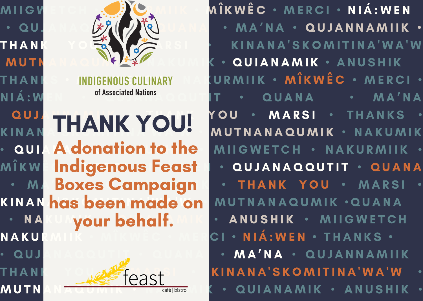

A donation to the Indigenous Feast Boxes Campaign your behalf. THANK YOU!



MII G W ET CH **\* A BUCAMER \* MÎK WÊ C \* MERCI \* NIÁ: WEN**  $\cdot$  QU. ANA  $\frac{1}{2}$   $\frac{1}{2}$   $\frac{1}{2}$   $\frac{1}{2}$   $\frac{1}{2}$   $\frac{1}{2}$   $\cdot$  MA'NA  $\cdot$  QUJANNAMIIK  $\cdot$ THANK YORK VALORE & KINANA'SKOMITINA'WA'W MUTNAMA NEWSZEPIERUM K • QUIANAMIK • ANUSHIK THANIS • INDIGENOUS CULINARY NA KURMIIK • MÎKWÊC • MERCI • N I Á : W E N social Mations A LUTIT · QUANA · MA'NA QUJ **A N N N N A WA N A WA WA WARSI • THANKS** KINAN LITANIN LOOG MUTNANAQUMIK · NAKUMIK • **QUI A donation to the I**MIIGWETCH • NAKURMIIK • MÎKW **Îndigenous Feast I • QUJANAQQUTIT • QUANA** • M**. Boxes Campaian | • THANK YOU • MARSI •** KINAN has been made on MUTNANAQUMIK .QUANA  $\cdot$  NA K WOUT behalf  $\cdot$  ANUSHIK  $\cdot$  MIIGWETCH NAKURMIJK • MÎKWÊC • MERCI • NIÁ:WEN • THANKS • . QUJANAQQUTIT · QUANA · MA'NA · QUJANNAMIIK THANI • CAST KINANA'SKOMITINA'WA'W **MUTNAN A QUE ME A COOL CONSIGNATION** ( • QUIANAMIK • ANUSHIK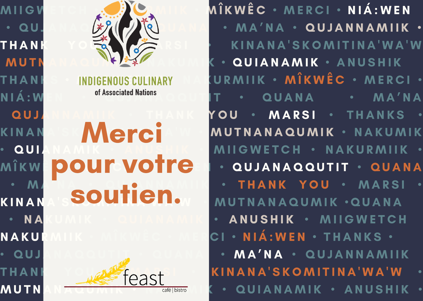

**Merci** pour votre soutien.



M I I G W E T C H • N A K U R M I I K • M Î K W Ê C • M E R C I • N I Á : W E N  $\cdot$  QU, A N A  $\left(\frac{1}{2}\right)^{n}$   $\left(\frac{1}{2}\right)^{n}$   $\left(\frac{1}{2}\right)^{n}$   $\left(\frac{1}{2}\right)^{n}$   $\left(\frac{1}{2}\right)^{n}$   $\left(\frac{1}{2}\right)^{n}$   $\left(\frac{1}{2}\right)^{n}$   $\left(\frac{1}{2}\right)^{n}$   $\left(\frac{1}{2}\right)^{n}$   $\left(\frac{1}{2}\right)^{n}$   $\left(\frac{1}{2}\right)^{n}$   $\left(\frac{1}{2}\right)^{n}$   $\$ THANK YORK YEARS & KINANA'SKOMITINA'WA'W MUTN NEWSTAND NEWSTAND WE ARREST A NUTHER AND A K . QUIANAMIK . ANUSHIK THANIS • INDIGENOUS CULINARY NA KURMIIK • MÎKWÊC • MERCI •  $\mathsf{N} \, \mathsf{I} \, \hat{\mathsf{A}} : \mathsf{W} \, \mathsf{E} \, \mathsf{N} \, \longrightarrow \, \mathsf{M} \, \mathsf{A}^{\mathsf{S}}$  and  $\mathsf{M} \, \mathsf{A} \, \mathsf{M} \, \mathsf{A} \, \mathsf{M} \, \mathsf{A}$  and  $\mathsf{M} \, \mathsf{A} \, \mathsf{M} \, \mathsf{A}$  and  $\mathsf{M} \, \mathsf{A} \, \mathsf{M} \, \mathsf{A}$ QUJANNAMIK • THANK YOU • MARSI • THANKS K IN A N A SKAMA I MANGUNIK SAKUMIK I MAKU MANGUNIK SAKU MIK **QUIANAMIK • ANUSHIK • MIIGWETCH • NAKURMIIK •** QUJANAQQUTIT • QUANA M A A · Q TO NNAM IN · THANK YOU · MARSI KINANA SOUTHULLOW MUTNANAQUMIK •QUANA N A KU M I K · QUI A N A M I K · A NUSHIK · MI I G WETCH NAKURMIIK • MÎKWÊC • MERCI • NIÁ:WEN • THANKS • • QUJANAQQUTIT • QUANA • MA'NA • QUJANNAMIIK THANI • CAST KINANA'SKOMITINA'WA'W MUTNAN A U U M I K **A K A K A K A K U GOODL** COMPUSION K • QUI A N A M I K • A N U S H I K •